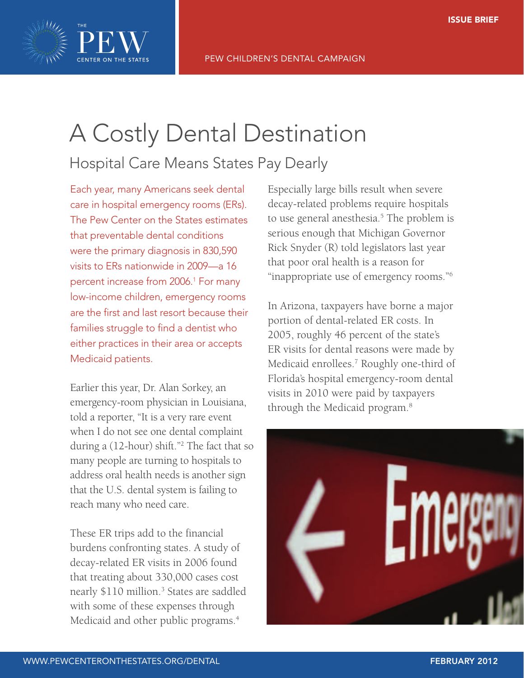

# Hospital Care Means States Pay Dearly

Each year, many Americans seek dental care in hospital emergency rooms (ERs). The Pew Center on the States estimates that preventable dental conditions were the primary diagnosis in 830,590 visits to ERs nationwide in 2009—a 16 percent increase from 2006.1 For many low-income children, emergency rooms are the first and last resort because their families struggle to find a dentist who either practices in their area or accepts Medicaid patients.

Earlier this year, Dr. Alan Sorkey, an emergency-room physician in Louisiana, told a reporter, "It is a very rare event when I do not see one dental complaint during a (12-hour) shift."2 The fact that so many people are turning to hospitals to address oral health needs is another sign that the U.S. dental system is failing to reach many who need care.

These ER trips add to the financial burdens confronting states. A study of decay-related ER visits in 2006 found that treating about 330,000 cases cost nearly \$110 million.<sup>3</sup> States are saddled with some of these expenses through Medicaid and other public programs.<sup>4</sup>

Especially large bills result when severe decay-related problems require hospitals to use general anesthesia.<sup>5</sup> The problem is serious enough that Michigan Governor Rick Snyder (R) told legislators last year that poor oral health is a reason for "inappropriate use of emergency rooms."6

In Arizona, taxpayers have borne a major portion of dental-related ER costs. In 2005, roughly 46 percent of the state's ER visits for dental reasons were made by Medicaid enrollees.<sup>7</sup> Roughly one-third of Florida's hospital emergency-room dental visits in 2010 were paid by taxpayers through the Medicaid program.8

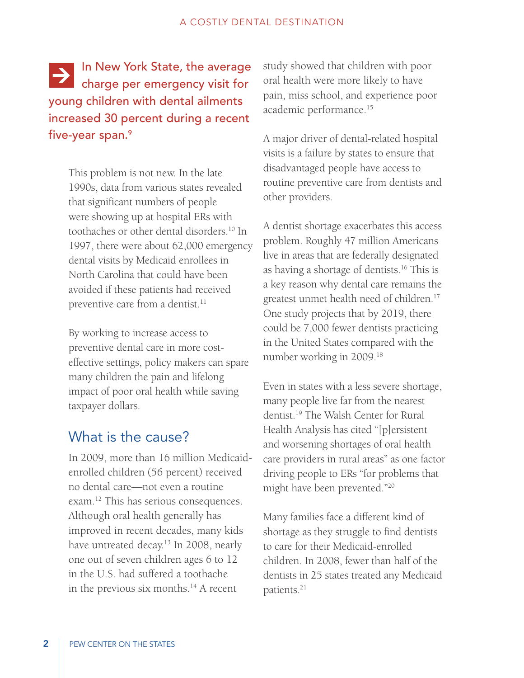In New York State, the average **EX III NEW TOTK State, the average** young children with dental ailments increased 30 percent during a recent five-year span.<sup>9</sup>

> This problem is not new. In the late 1990s, data from various states revealed that significant numbers of people were showing up at hospital ERs with toothaches or other dental disorders.10 In 1997, there were about 62,000 emergency dental visits by Medicaid enrollees in North Carolina that could have been avoided if these patients had received preventive care from a dentist.<sup>11</sup>

By working to increase access to preventive dental care in more costeffective settings, policy makers can spare many children the pain and lifelong impact of poor oral health while saving taxpayer dollars.

# What is the cause?

In 2009, more than 16 million Medicaidenrolled children (56 percent) received no dental care—not even a routine exam.12 This has serious consequences. Although oral health generally has improved in recent decades, many kids have untreated decay.<sup>13</sup> In 2008, nearly one out of seven children ages 6 to 12 in the U.S. had suffered a toothache in the previous six months. $14$  A recent

study showed that children with poor oral health were more likely to have pain, miss school, and experience poor academic performance.15

A major driver of dental-related hospital visits is a failure by states to ensure that disadvantaged people have access to routine preventive care from dentists and other providers.

A dentist shortage exacerbates this access problem. Roughly 47 million Americans live in areas that are federally designated as having a shortage of dentists.16 This is a key reason why dental care remains the greatest unmet health need of children.<sup>17</sup> One study projects that by 2019, there could be 7,000 fewer dentists practicing in the United States compared with the number working in 2009.18

Even in states with a less severe shortage, many people live far from the nearest dentist.19 The Walsh Center for Rural Health Analysis has cited "[p]ersistent and worsening shortages of oral health care providers in rural areas" as one factor driving people to ERs "for problems that might have been prevented."20

Many families face a different kind of shortage as they struggle to find dentists to care for their Medicaid-enrolled children. In 2008, fewer than half of the dentists in 25 states treated any Medicaid patients.21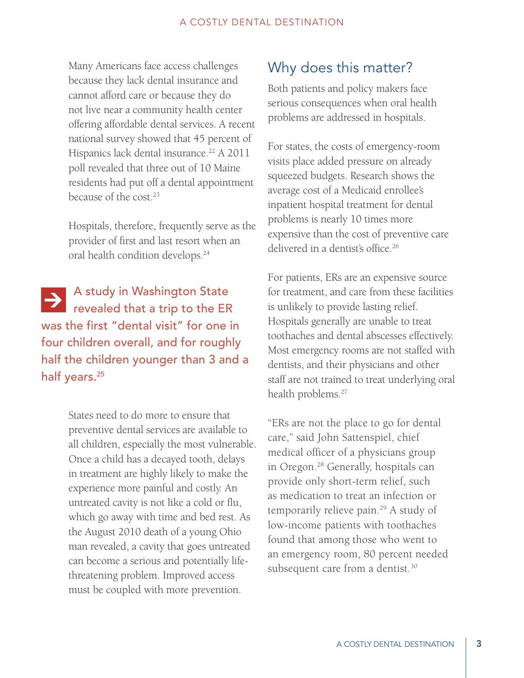Many Americans face access challenges because they lack dental insurance and cannot afford care or because they do not live near a community health center offering affordable dental services. A recent national survey showed that 45 percent of Hispanics lack dental insurance.<sup>22</sup> A 2011 poll revealed that three out of 10 Maine residents had put off a dental appointment because of the cost.23

Hospitals, therefore, frequently serve as the provider of first and last resort when an oral health condition develops.24

A study in Washington State **PA** study in Washington state was the first "dental visit" for one in four children overall, and for roughly half the children younger than 3 and a half years.<sup>25</sup>

> States need to do more to ensure that preventive dental services are available to all children, especially the most vulnerable. Once a child has a decayed tooth, delays in treatment are highly likely to make the experience more painful and costly. An untreated cavity is not like a cold or flu, which go away with time and bed rest. As the August 2010 death of a young Ohio man revealed, a cavity that goes untreated can become a serious and potentially lifethreatening problem. Improved access must be coupled with more prevention.

# Why does this matter?

Both patients and policy makers face serious consequences when oral health problems are addressed in hospitals.

For states, the costs of emergency-room visits place added pressure on already squeezed budgets. Research shows the average cost of a Medicaid enrollee's inpatient hospital treatment for dental problems is nearly 10 times more expensive than the cost of preventive care delivered in a dentist's office.<sup>26</sup>

For patients, ERs are an expensive source for treatment, and care from these facilities is unlikely to provide lasting relief. Hospitals generally are unable to treat toothaches and dental abscesses effectively. Most emergency rooms are not staffed with dentists, and their physicians and other staff are not trained to treat underlying oral health problems.<sup>27</sup>

"ERs are not the place to go for dental care," said John Sattenspiel, chief medical officer of a physicians group in Oregon.28 Generally, hospitals can provide only short-term relief, such as medication to treat an infection or temporarily relieve pain.29 A study of low-income patients with toothaches found that among those who went to an emergency room, 80 percent needed subsequent care from a dentist.<sup>30</sup>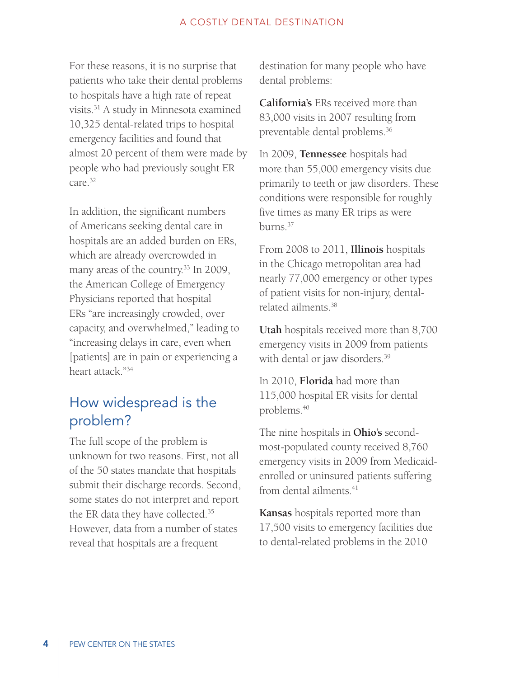For these reasons, it is no surprise that patients who take their dental problems to hospitals have a high rate of repeat visits.31 A study in Minnesota examined 10,325 dental-related trips to hospital emergency facilities and found that almost 20 percent of them were made by people who had previously sought ER care.32

In addition, the significant numbers of Americans seeking dental care in hospitals are an added burden on ERs, which are already overcrowded in many areas of the country.<sup>33</sup> In 2009, the American College of Emergency Physicians reported that hospital ERs "are increasingly crowded, over capacity, and overwhelmed," leading to "increasing delays in care, even when [patients] are in pain or experiencing a heart attack."34

# How widespread is the problem?

The full scope of the problem is unknown for two reasons. First, not all of the 50 states mandate that hospitals submit their discharge records. Second, some states do not interpret and report the ER data they have collected.35 However, data from a number of states reveal that hospitals are a frequent

destination for many people who have dental problems:

**California's** ERs received more than 83,000 visits in 2007 resulting from preventable dental problems.36

In 2009, **Tennessee** hospitals had more than 55,000 emergency visits due primarily to teeth or jaw disorders. These conditions were responsible for roughly five times as many ER trips as were burns.37

From 2008 to 2011, **Illinois** hospitals in the Chicago metropolitan area had nearly 77,000 emergency or other types of patient visits for non-injury, dentalrelated ailments.38

**Utah** hospitals received more than 8,700 emergency visits in 2009 from patients with dental or jaw disorders.<sup>39</sup>

In 2010, **Florida** had more than 115,000 hospital ER visits for dental problems.40

The nine hospitals in **Ohio's** secondmost-populated county received 8,760 emergency visits in 2009 from Medicaidenrolled or uninsured patients suffering from dental ailments.<sup>41</sup>

**Kansas** hospitals reported more than 17,500 visits to emergency facilities due to dental-related problems in the 2010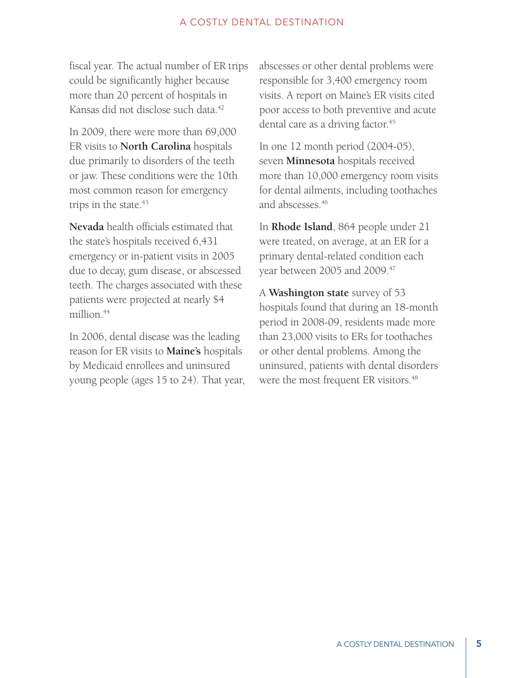fiscal year. The actual number of ER trips could be significantly higher because more than 20 percent of hospitals in Kansas did not disclose such data.<sup>42</sup>

In 2009, there were more than 69,000 ER visits to **North Carolina** hospitals due primarily to disorders of the teeth or jaw. These conditions were the 10th most common reason for emergency trips in the state.<sup>43</sup>

**Nevada** health officials estimated that the state's hospitals received 6,431 emergency or in-patient visits in 2005 due to decay, gum disease, or abscessed teeth. The charges associated with these patients were projected at nearly \$4 million.<sup>44</sup>

In 2006, dental disease was the leading reason for ER visits to **Maine's** hospitals by Medicaid enrollees and uninsured young people (ages 15 to 24). That year, abscesses or other dental problems were responsible for 3,400 emergency room visits. A report on Maine's ER visits cited poor access to both preventive and acute dental care as a driving factor.<sup>45</sup>

In one 12 month period (2004-05), seven **Minnesota** hospitals received more than 10,000 emergency room visits for dental ailments, including toothaches and abscesses.46

In **Rhode Island**, 864 people under 21 were treated, on average, at an ER for a primary dental-related condition each year between 2005 and 2009.<sup>47</sup>

A **Washington state** survey of 53 hospitals found that during an 18-month period in 2008-09, residents made more than 23,000 visits to ERs for toothaches or other dental problems. Among the uninsured, patients with dental disorders were the most frequent ER visitors.<sup>48</sup>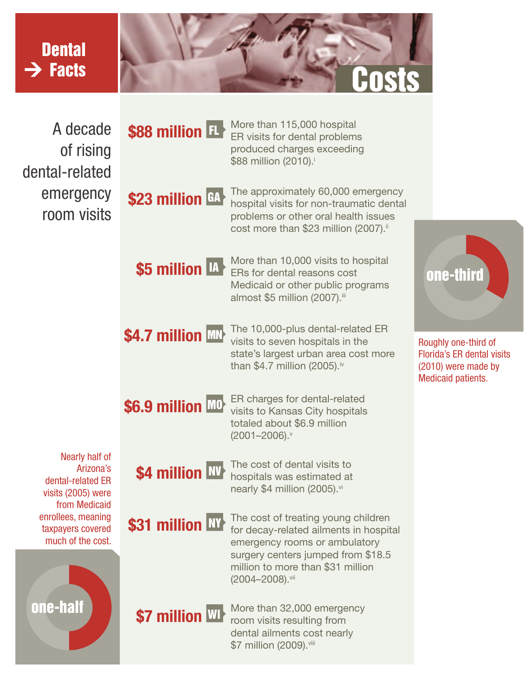# **Dental**  $\rightarrow$  Facts



A decade of rising dental-related emergency room visits



More than 115,000 hospital ER visits for dental problems produced charges exceeding \$88 million (2010).<sup>i</sup>

## The approximately 60,000 emergency hospital visits for non-traumatic dental problems or other oral health issues cost more than \$23 million (2007).<sup>ii</sup>

\$5 million IA

More than 10,000 visits to hospital ERs for dental reasons cost Medicaid or other public programs almost \$5 million (2007).<sup>iii</sup>

# \$4.7 million MN

The 10,000-plus dental-related ER visits to seven hospitals in the state's largest urban area cost more than \$4.7 million (2005). $iv$ 

\$6.9 million MO

ER charges for dental-related visits to Kansas City hospitals totaled about \$6.9 million  $(2001 - 2006)$ .

Nearly half of Arizona's dental-related ER visits (2005) were from Medicaid enrollees, meaning taxpayers covered much of the cost.



\$4 million NV

The cost of dental visits to hospitals was estimated at nearly \$4 million (2005).vi

# \$31 million NY

The cost of treating young children for decay-related ailments in hospital emergency rooms or ambulatory surgery centers jumped from \$18.5 million to more than \$31 million (2004–2008).vii



More than 32,000 emergency room visits resulting from dental ailments cost nearly \$7 million (2009). viii



Roughly one-third of Florida's ER dental visits (2010) were made by Medicaid patients.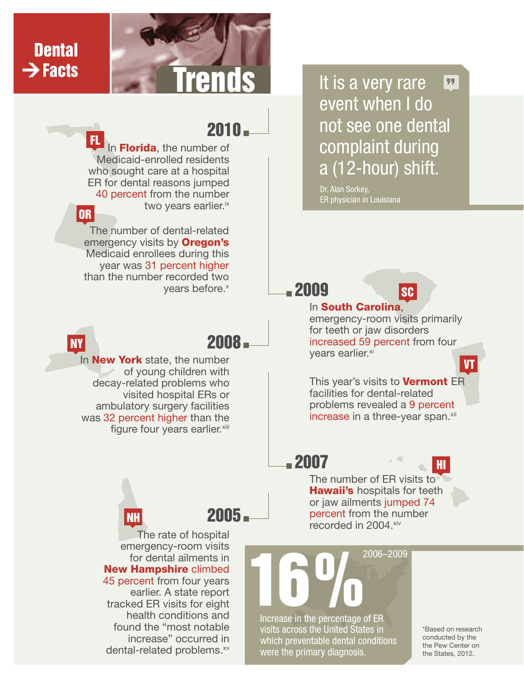

# **Dental**  $\rightarrow$  Facts

# $2010 -$

In Florida, the number of Medicaid-enrolled residents who sought care at a hospital ER for dental reasons jumped 40 percent from the number two years earlier.<sup>ix</sup> FL

## OR

The number of dental-related emergency visits by **Oregon's** Medicaid enrollees during this year was 31 percent higher than the number recorded two vears before.<sup>x</sup>

# NY

# 2008

In **New York** state, the number of young children with decay-related problems who visited hospital ERs or ambulatory surgery facilities was 32 percent higher than the figure four years earlier.<sup>xiii</sup>

NH

**Tends** I It is a very rare event when I do not see one dental complaint during a (12-hour) shift. "

> Dr. Alan Sorkey, ER physician in Louisiana

# 2009

2007



## In South Carolina,

emergency-room visits primarily for teeth or jaw disorders increased 59 percent from four years earlier.<sup>xi</sup>

## This year's visits to **Vermont** ER facilities for dental-related problems revealed a 9 percent increase in a three-year span.<sup>xii</sup>

# 2005

The rate of hospital emergency-room visits for dental ailments in New Hampshire climbed 45 percent from four years earlier. A state report tracked ER visits for eight health conditions and found the "most notable increase" occurred in dental-related problems.<sup>xv</sup> The number of ER visits to **Hawaii's** hospitals for teeth or jaw ailments jumped 74 percent from the number recorded in 2004.xiv

Increase in the percentage of ER visits across the United States in which preventable dental conditions were the primary diagnosis. **16%**<br>2006–2009<br>Processe in the percentage of FR

\*Based on research conducted by the the Pew Center on the States, 2012.

HI

VT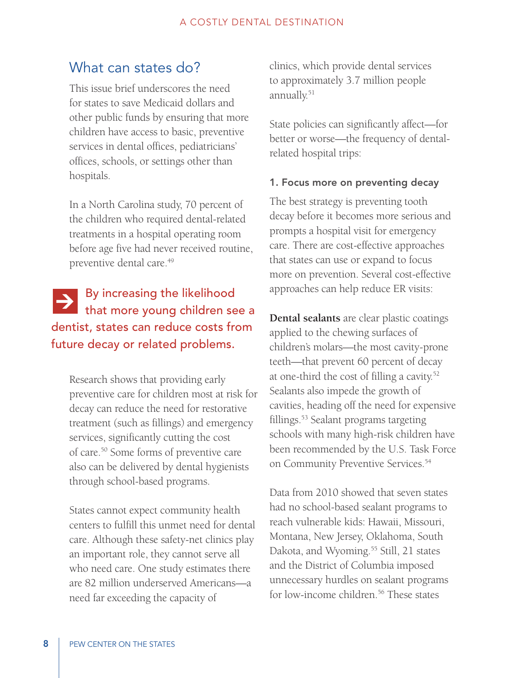# What can states do?

This issue brief underscores the need for states to save Medicaid dollars and other public funds by ensuring that more children have access to basic, preventive services in dental offices, pediatricians' offices, schools, or settings other than hospitals.

In a North Carolina study, 70 percent of the children who required dental-related treatments in a hospital operating room before age five had never received routine, preventive dental care.<sup>49</sup>

## By increasing the likelihood that more young children see a dentist, states can reduce costs from future decay or related problems.  $\rightarrow$

Research shows that providing early preventive care for children most at risk for decay can reduce the need for restorative treatment (such as fillings) and emergency services, significantly cutting the cost of care.50 Some forms of preventive care also can be delivered by dental hygienists through school-based programs.

States cannot expect community health centers to fulfill this unmet need for dental care. Although these safety-net clinics play an important role, they cannot serve all who need care. One study estimates there are 82 million underserved Americans—a need far exceeding the capacity of

clinics, which provide dental services to approximately 3.7 million people annually.<sup>51</sup>

State policies can significantly affect—for better or worse—the frequency of dentalrelated hospital trips:

## 1. Focus more on preventing decay

The best strategy is preventing tooth decay before it becomes more serious and prompts a hospital visit for emergency care. There are cost-effective approaches that states can use or expand to focus more on prevention. Several cost-effective approaches can help reduce ER visits:

**Dental sealants** are clear plastic coatings applied to the chewing surfaces of children's molars—the most cavity-prone teeth—that prevent 60 percent of decay at one-third the cost of filling a cavity.<sup>52</sup> Sealants also impede the growth of cavities, heading off the need for expensive fillings.<sup>53</sup> Sealant programs targeting schools with many high-risk children have been recommended by the U.S. Task Force on Community Preventive Services.<sup>54</sup>

Data from 2010 showed that seven states had no school-based sealant programs to reach vulnerable kids: Hawaii, Missouri, Montana, New Jersey, Oklahoma, South Dakota, and Wyoming.55 Still, 21 states and the District of Columbia imposed unnecessary hurdles on sealant programs for low-income children.<sup>56</sup> These states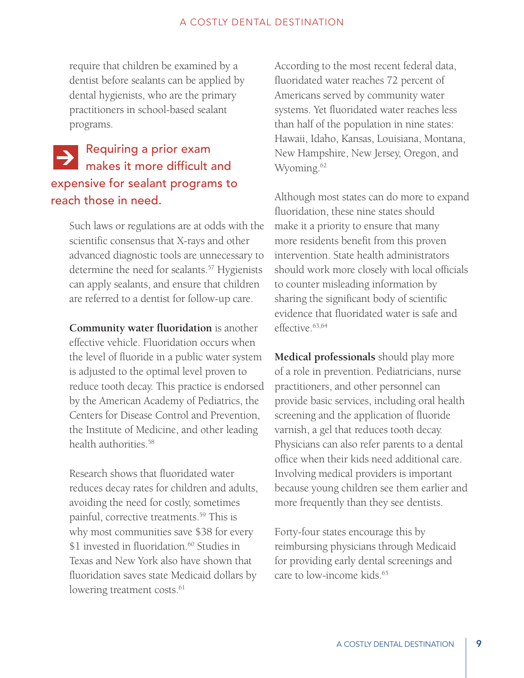require that children be examined by a dentist before sealants can be applied by dental hygienists, who are the primary practitioners in school-based sealant programs.

## Requiring a prior exam makes it more difficult and expensive for sealant programs to reach those in need.  $\rightarrow$

Such laws or regulations are at odds with the scientific consensus that X-rays and other advanced diagnostic tools are unnecessary to determine the need for sealants.<sup>57</sup> Hygienists can apply sealants, and ensure that children are referred to a dentist for follow-up care.

**Community water fluoridation** is another effective vehicle. Fluoridation occurs when the level of fluoride in a public water system is adjusted to the optimal level proven to reduce tooth decay. This practice is endorsed by the American Academy of Pediatrics, the Centers for Disease Control and Prevention, the Institute of Medicine, and other leading health authorities.58

Research shows that fluoridated water reduces decay rates for children and adults, avoiding the need for costly, sometimes painful, corrective treatments.<sup>59</sup> This is why most communities save \$38 for every \$1 invested in fluoridation.<sup>60</sup> Studies in Texas and New York also have shown that fluoridation saves state Medicaid dollars by lowering treatment costs.<sup>61</sup>

According to the most recent federal data, fluoridated water reaches 72 percent of Americans served by community water systems. Yet fluoridated water reaches less than half of the population in nine states: Hawaii, Idaho, Kansas, Louisiana, Montana, New Hampshire, New Jersey, Oregon, and Wyoming.<sup>62</sup>

Although most states can do more to expand fluoridation, these nine states should make it a priority to ensure that many more residents benefit from this proven intervention. State health administrators should work more closely with local officials to counter misleading information by sharing the significant body of scientific evidence that fluoridated water is safe and effective.63,64

**Medical professionals** should play more of a role in prevention. Pediatricians, nurse practitioners, and other personnel can provide basic services, including oral health screening and the application of fluoride varnish, a gel that reduces tooth decay. Physicians can also refer parents to a dental office when their kids need additional care. Involving medical providers is important because young children see them earlier and more frequently than they see dentists.

Forty-four states encourage this by reimbursing physicians through Medicaid for providing early dental screenings and care to low-income kids.<sup>65</sup>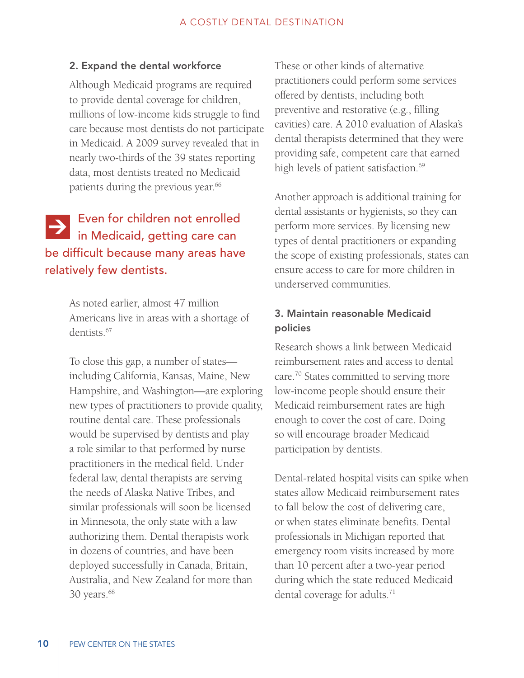## 2. Expand the dental workforce

Although Medicaid programs are required to provide dental coverage for children, millions of low-income kids struggle to find care because most dentists do not participate in Medicaid. A 2009 survey revealed that in nearly two-thirds of the 39 states reporting data, most dentists treated no Medicaid patients during the previous year.<sup>66</sup>

# Even for children not enrolled **Exercise Construction**<br>in Medicaid, getting care can be difficult because many areas have relatively few dentists.

As noted earlier, almost 47 million Americans live in areas with a shortage of dentists<sup>67</sup>

To close this gap, a number of states including California, Kansas, Maine, New Hampshire, and Washington—are exploring new types of practitioners to provide quality, routine dental care. These professionals would be supervised by dentists and play a role similar to that performed by nurse practitioners in the medical field. Under federal law, dental therapists are serving the needs of Alaska Native Tribes, and similar professionals will soon be licensed in Minnesota, the only state with a law authorizing them. Dental therapists work in dozens of countries, and have been deployed successfully in Canada, Britain, Australia, and New Zealand for more than 30 years.<sup>68</sup>

These or other kinds of alternative practitioners could perform some services offered by dentists, including both preventive and restorative (e.g., filling cavities) care. A 2010 evaluation of Alaska's dental therapists determined that they were providing safe, competent care that earned high levels of patient satisfaction.<sup>69</sup>

Another approach is additional training for dental assistants or hygienists, so they can perform more services. By licensing new types of dental practitioners or expanding the scope of existing professionals, states can ensure access to care for more children in underserved communities.

## 3. Maintain reasonable Medicaid policies

Research shows a link between Medicaid reimbursement rates and access to dental care.70 States committed to serving more low-income people should ensure their Medicaid reimbursement rates are high enough to cover the cost of care. Doing so will encourage broader Medicaid participation by dentists.

Dental-related hospital visits can spike when states allow Medicaid reimbursement rates to fall below the cost of delivering care, or when states eliminate benefits. Dental professionals in Michigan reported that emergency room visits increased by more than 10 percent after a two-year period during which the state reduced Medicaid dental coverage for adults.<sup>71</sup>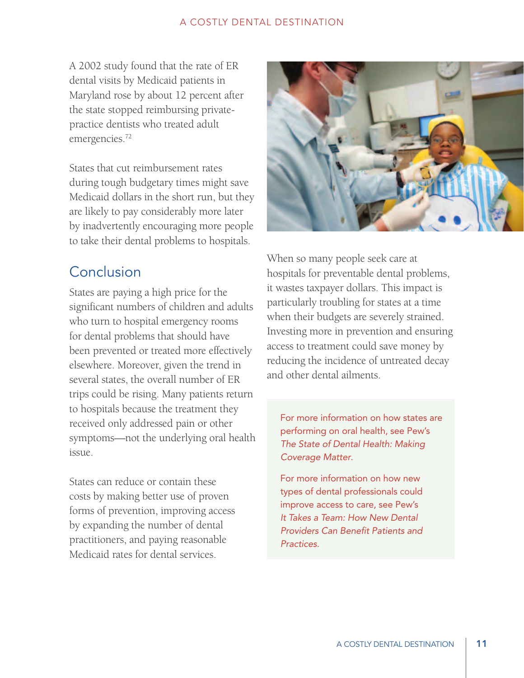A 2002 study found that the rate of ER dental visits by Medicaid patients in Maryland rose by about 12 percent after the state stopped reimbursing privatepractice dentists who treated adult emergencies.72

States that cut reimbursement rates during tough budgetary times might save Medicaid dollars in the short run, but they are likely to pay considerably more later by inadvertently encouraging more people to take their dental problems to hospitals.

# **Conclusion**

States are paying a high price for the significant numbers of children and adults who turn to hospital emergency rooms for dental problems that should have been prevented or treated more effectively elsewhere. Moreover, given the trend in several states, the overall number of ER trips could be rising. Many patients return to hospitals because the treatment they received only addressed pain or other symptoms—not the underlying oral health issue.

States can reduce or contain these costs by making better use of proven forms of prevention, improving access by expanding the number of dental practitioners, and paying reasonable Medicaid rates for dental services.



When so many people seek care at hospitals for preventable dental problems, it wastes taxpayer dollars. This impact is particularly troubling for states at a time when their budgets are severely strained. Investing more in prevention and ensuring access to treatment could save money by reducing the incidence of untreated decay and other dental ailments.

For more information on how states are performing on oral health, see Pew's *The State of Dental Health: Making Coverage Matter*.

For more information on how new types of dental professionals could improve access to care, see Pew's *It Takes a Team: How New Dental Providers Can Benefit Patients and Practices.*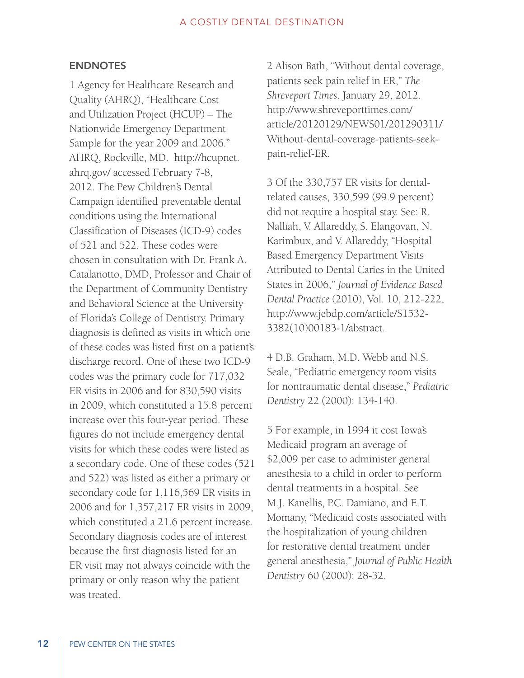## ENDNOTES

1 Agency for Healthcare Research and Quality (AHRQ), "Healthcare Cost and Utilization Project (HCUP) – The Nationwide Emergency Department Sample for the year 2009 and 2006." AHRQ, Rockville, MD. http://hcupnet. ahrq.gov/ accessed February 7-8, 2012. The Pew Children's Dental Campaign identified preventable dental conditions using the International Classification of Diseases (ICD-9) codes of 521 and 522. These codes were chosen in consultation with Dr. Frank A. Catalanotto, DMD, Professor and Chair of the Department of Community Dentistry and Behavioral Science at the University of Florida's College of Dentistry. Primary diagnosis is defined as visits in which one of these codes was listed first on a patient's discharge record. One of these two ICD-9 codes was the primary code for 717,032 ER visits in 2006 and for 830,590 visits in 2009, which constituted a 15.8 percent increase over this four-year period. These figures do not include emergency dental visits for which these codes were listed as a secondary code. One of these codes (521 and 522) was listed as either a primary or secondary code for 1,116,569 ER visits in 2006 and for 1,357,217 ER visits in 2009, which constituted a 21.6 percent increase. Secondary diagnosis codes are of interest because the first diagnosis listed for an ER visit may not always coincide with the primary or only reason why the patient was treated.

2 Alison Bath, "Without dental coverage, patients seek pain relief in ER," *The Shreveport Times*, January 29, 2012. http://www.shreveporttimes.com/ article/20120129/NEWS01/201290311/ Without-dental-coverage-patients-seekpain-relief-ER.

3 Of the 330,757 ER visits for dentalrelated causes, 330,599 (99.9 percent) did not require a hospital stay. See: R. Nalliah, V. Allareddy, S. Elangovan, N. Karimbux, and V. Allareddy, "Hospital Based Emergency Department Visits Attributed to Dental Caries in the United States in 2006," *Journal of Evidence Based Dental Practice* (2010), Vol. 10, 212-222, http://www.jebdp.com/article/S1532- 3382(10)00183-1/abstract.

4 D.B. Graham, M.D. Webb and N.S. Seale, "Pediatric emergency room visits for nontraumatic dental disease," *Pediatric Dentistry* 22 (2000): 134-140.

5 For example, in 1994 it cost Iowa's Medicaid program an average of \$2,009 per case to administer general anesthesia to a child in order to perform dental treatments in a hospital. See M.J. Kanellis, P.C. Damiano, and E.T. Momany, "Medicaid costs associated with the hospitalization of young children for restorative dental treatment under general anesthesia," *Journal of Public Health Dentistry* 60 (2000): 28-32.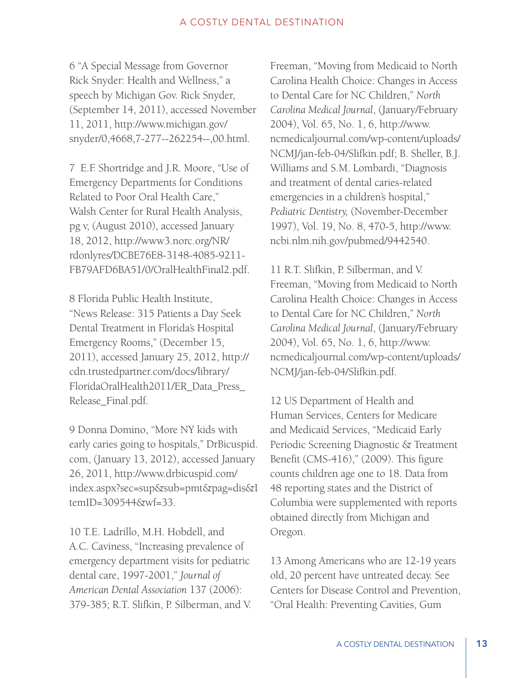6 "A Special Message from Governor Rick Snyder: Health and Wellness," a speech by Michigan Gov. Rick Snyder, (September 14, 2011), accessed November 11, 2011, http://www.michigan.gov/ snyder/0,4668,7-277--262254--,00.html.

7 E.F. Shortridge and J.R. Moore, "Use of Emergency Departments for Conditions Related to Poor Oral Health Care," Walsh Center for Rural Health Analysis, pg v, (August 2010), accessed January 18, 2012, http://www3.norc.org/NR/ rdonlyres/DCBE76E8-3148-4085-9211- FB79AFD6BA51/0/OralHealthFinal2.pdf.

8 Florida Public Health Institute, "News Release: 315 Patients a Day Seek Dental Treatment in Florida's Hospital Emergency Rooms," (December 15, 2011), accessed January 25, 2012, http:// cdn.trustedpartner.com/docs/library/ FloridaOralHealth2011/ER\_Data\_Press\_ Release\_Final.pdf.

9 Donna Domino, "More NY kids with early caries going to hospitals," DrBicuspid. com, (January 13, 2012), accessed January 26, 2011, http://www.drbicuspid.com/ index.aspx?sec=sup&sub=pmt&pag=dis&I temID=309544&wf=33.

10 T.E. Ladrillo, M.H. Hobdell, and A.C. Caviness, "Increasing prevalence of emergency department visits for pediatric dental care, 1997-2001," *Journal of American Dental Association* 137 (2006): 379-385; R.T. Slifkin, P. Silberman, and V. Freeman, "Moving from Medicaid to North Carolina Health Choice: Changes in Access to Dental Care for NC Children," *North Carolina Medical Journal*, (January/February 2004), Vol. 65, No. 1, 6, http://www. ncmedicaljournal.com/wp-content/uploads/ NCMJ/jan-feb-04/Slifkin.pdf; B. Sheller, B.J. Williams and S.M. Lombardi, "Diagnosis and treatment of dental caries-related emergencies in a children's hospital," *Pediatric Dentistry,* (November-December 1997), Vol. 19, No. 8, 470-5, http://www. ncbi.nlm.nih.gov/pubmed/9442540.

11 R.T. Slifkin, P. Silberman, and V. Freeman, "Moving from Medicaid to North Carolina Health Choice: Changes in Access to Dental Care for NC Children," *North Carolina Medical Journal*, (January/February 2004), Vol. 65, No. 1, 6, http://www. ncmedicaljournal.com/wp-content/uploads/ NCMJ/jan-feb-04/Slifkin.pdf.

12 US Department of Health and Human Services, Centers for Medicare and Medicaid Services, "Medicaid Early Periodic Screening Diagnostic & Treatment Benefit (CMS-416)," (2009). This figure counts children age one to 18. Data from 48 reporting states and the District of Columbia were supplemented with reports obtained directly from Michigan and Oregon.

13 Among Americans who are 12-19 years old, 20 percent have untreated decay. See Centers for Disease Control and Prevention, "Oral Health: Preventing Cavities, Gum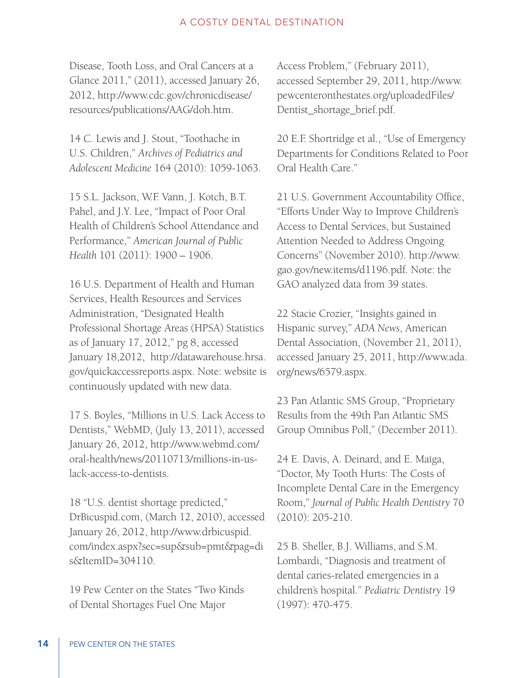Disease, Tooth Loss, and Oral Cancers at a Glance 2011," (2011), accessed January 26, 2012, http://www.cdc.gov/chronicdisease/ resources/publications/AAG/doh.htm.

14 C. Lewis and J. Stout, "Toothache in U.S. Children," *Archives of Pediatrics and Adolescent Medicine* 164 (2010): 1059-1063.

15 S.L. Jackson, W.F. Vann, J. Kotch, B.T. Pahel, and J.Y. Lee, "Impact of Poor Oral Health of Children's School Attendance and Performance," *American Journal of Public Health* 101 (2011): 1900 – 1906.

16 U.S. Department of Health and Human Services, Health Resources and Services Administration, "Designated Health Professional Shortage Areas (HPSA) Statistics as of January 17, 2012," pg 8, accessed January 18,2012, http://datawarehouse.hrsa. gov/quickaccessreports.aspx. Note: website is continuously updated with new data.

17 S. Boyles, "Millions in U.S. Lack Access to Dentists," WebMD, (July 13, 2011), accessed January 26, 2012, http://www.webmd.com/ oral-health/news/20110713/millions-in-uslack-access-to-dentists.

18 "U.S. dentist shortage predicted," DrBicuspid.com, (March 12, 2010), accessed January 26, 2012, http://www.drbicuspid. com/index.aspx?sec=sup&sub=pmt&pag=di s&ItemID=304110.

19 Pew Center on the States "Two Kinds of Dental Shortages Fuel One Major

Access Problem," (February 2011), accessed September 29, 2011, http://www. pewcenteronthestates.org/uploadedFiles/ Dentist\_shortage\_brief.pdf.

20 E.F. Shortridge et al., "Use of Emergency Departments for Conditions Related to Poor Oral Health Care."

21 U.S. Government Accountability Office, "Efforts Under Way to Improve Children's Access to Dental Services, but Sustained Attention Needed to Address Ongoing Concerns" (November 2010). http://www. gao.gov/new.items/d1196.pdf. Note: the GAO analyzed data from 39 states.

22 Stacie Crozier, "Insights gained in Hispanic survey," *ADA News*, American Dental Association, (November 21, 2011), accessed January 25, 2011, http://www.ada. org/news/6579.aspx.

23 Pan Atlantic SMS Group, "Proprietary Results from the 49th Pan Atlantic SMS Group Omnibus Poll," (December 2011).

24 E. Davis, A. Deinard, and E. Maïga, "Doctor, My Tooth Hurts: The Costs of Incomplete Dental Care in the Emergency Room," *Journal of Public Health Dentistry* 70 (2010): 205-210.

25 B. Sheller, B.J. Williams, and S.M. Lombardi, "Diagnosis and treatment of dental caries-related emergencies in a children's hospital." *Pediatric Dentistry* 19 (1997): 470-475.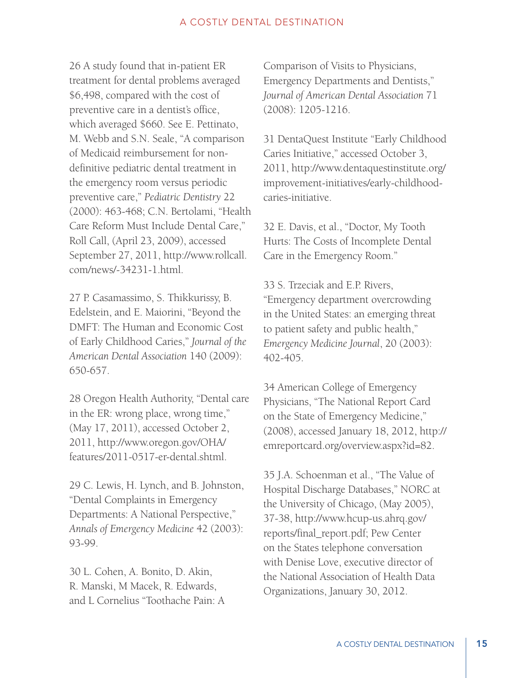26 A study found that in-patient ER treatment for dental problems averaged \$6,498, compared with the cost of preventive care in a dentist's office, which averaged \$660. See E. Pettinato, M. Webb and S.N. Seale, "A comparison of Medicaid reimbursement for nondefinitive pediatric dental treatment in the emergency room versus periodic preventive care," *Pediatric Dentistry* 22 (2000): 463-468; C.N. Bertolami, "Health Care Reform Must Include Dental Care," Roll Call, (April 23, 2009), accessed September 27, 2011, http://www.rollcall. com/news/-34231-1.html.

27 P. Casamassimo, S. Thikkurissy, B. Edelstein, and E. Maiorini, "Beyond the DMFT: The Human and Economic Cost of Early Childhood Caries," *Journal of the American Dental Association* 140 (2009): 650-657.

28 Oregon Health Authority, "Dental care in the ER: wrong place, wrong time," (May 17, 2011), accessed October 2, 2011, http://www.oregon.gov/OHA/ features/2011-0517-er-dental.shtml.

29 C. Lewis, H. Lynch, and B. Johnston, "Dental Complaints in Emergency Departments: A National Perspective," *Annals of Emergency Medicine* 42 (2003): 93-99.

30 L. Cohen, A. Bonito, D. Akin, R. Manski, M Macek, R. Edwards, and L Cornelius "Toothache Pain: A

Comparison of Visits to Physicians, Emergency Departments and Dentists," *Journal of American Dental Association* 71 (2008): 1205-1216.

31 DentaQuest Institute "Early Childhood Caries Initiative," accessed October 3, 2011, http://www.dentaquestinstitute.org/ improvement-initiatives/early-childhoodcaries-initiative.

32 E. Davis, et al., "Doctor, My Tooth Hurts: The Costs of Incomplete Dental Care in the Emergency Room."

33 S. Trzeciak and E.P. Rivers, "Emergency department overcrowding in the United States: an emerging threat to patient safety and public health," *Emergency Medicine Journal*, 20 (2003): 402-405.

34 American College of Emergency Physicians, "The National Report Card on the State of Emergency Medicine," (2008), accessed January 18, 2012, http:// emreportcard.org/overview.aspx?id=82.

35 J.A. Schoenman et al., "The Value of Hospital Discharge Databases," NORC at the University of Chicago, (May 2005), 37-38, http://www.hcup-us.ahrq.gov/ reports/final\_report.pdf; Pew Center on the States telephone conversation with Denise Love, executive director of the National Association of Health Data Organizations, January 30, 2012.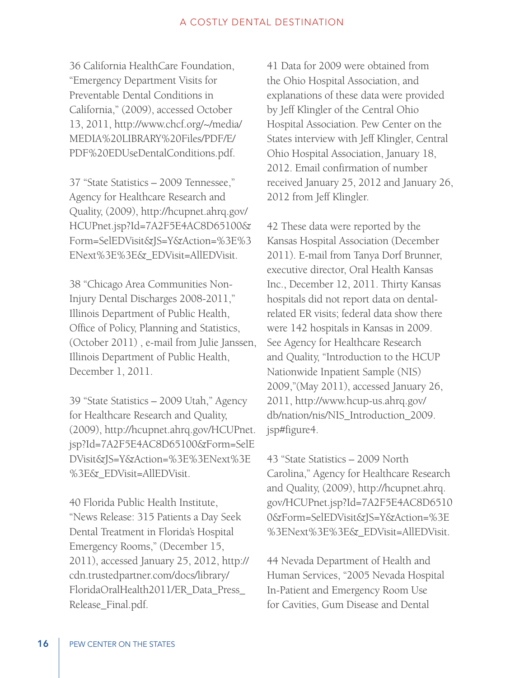36 California HealthCare Foundation, "Emergency Department Visits for Preventable Dental Conditions in California," (2009), accessed October 13, 2011, http://www.chcf.org/~/media/ MEDIA%20LIBRARY%20Files/PDF/E/ PDF%20EDUseDentalConditions.pdf.

37 "State Statistics – 2009 Tennessee," Agency for Healthcare Research and Quality, (2009), http://hcupnet.ahrq.gov/ HCUPnet.jsp?Id=7A2F5E4AC8D65100& Form=SelEDVisit&JS=Y&Action=%3E%3 ENext%3E%3E&\_EDVisit=AllEDVisit.

38 "Chicago Area Communities Non-Injury Dental Discharges 2008-2011," Illinois Department of Public Health, Office of Policy, Planning and Statistics, (October 2011) , e-mail from Julie Janssen, Illinois Department of Public Health, December 1, 2011.

39 "State Statistics – 2009 Utah," Agency for Healthcare Research and Quality, (2009), http://hcupnet.ahrq.gov/HCUPnet. jsp?Id=7A2F5E4AC8D65100&Form=SelE DVisit&JS=Y&Action=%3E%3ENext%3E %3E&\_EDVisit=AllEDVisit.

40 Florida Public Health Institute, "News Release: 315 Patients a Day Seek Dental Treatment in Florida's Hospital Emergency Rooms," (December 15, 2011), accessed January 25, 2012, http:// cdn.trustedpartner.com/docs/library/ FloridaOralHealth2011/ER\_Data\_Press\_ Release\_Final.pdf.

41 Data for 2009 were obtained from the Ohio Hospital Association, and explanations of these data were provided by Jeff Klingler of the Central Ohio Hospital Association. Pew Center on the States interview with Jeff Klingler, Central Ohio Hospital Association, January 18, 2012. Email confirmation of number received January 25, 2012 and January 26, 2012 from Jeff Klingler.

42 These data were reported by the Kansas Hospital Association (December 2011). E-mail from Tanya Dorf Brunner, executive director, Oral Health Kansas Inc., December 12, 2011. Thirty Kansas hospitals did not report data on dentalrelated ER visits; federal data show there were 142 hospitals in Kansas in 2009. See Agency for Healthcare Research and Quality, "Introduction to the HCUP Nationwide Inpatient Sample (NIS) 2009,"(May 2011), accessed January 26, 2011, http://www.hcup-us.ahrq.gov/ db/nation/nis/NIS\_Introduction\_2009. jsp#figure4.

43 "State Statistics – 2009 North Carolina," Agency for Healthcare Research and Quality, (2009), http://hcupnet.ahrq. gov/HCUPnet.jsp?Id=7A2F5E4AC8D6510 0&Form=SelEDVisit&JS=Y&Action=%3E %3ENext%3E%3E&\_EDVisit=AllEDVisit.

44 Nevada Department of Health and Human Services, "2005 Nevada Hospital In-Patient and Emergency Room Use for Cavities, Gum Disease and Dental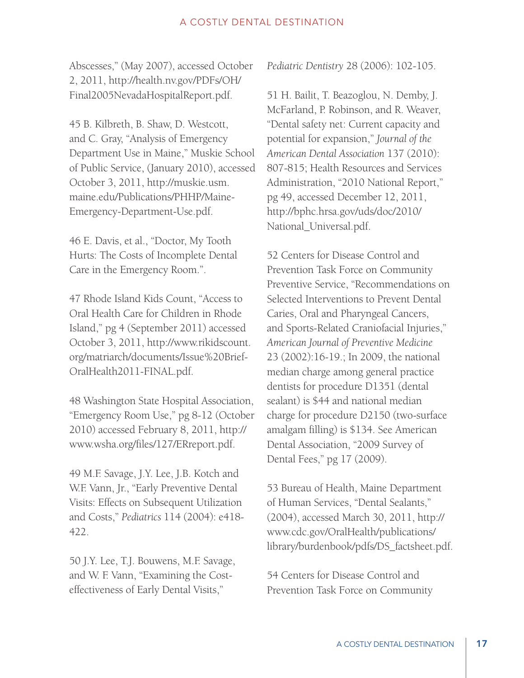Abscesses," (May 2007), accessed October 2, 2011, http://health.nv.gov/PDFs/OH/ Final2005NevadaHospitalReport.pdf.

45 B. Kilbreth, B. Shaw, D. Westcott, and C. Gray, "Analysis of Emergency Department Use in Maine," Muskie School of Public Service, (January 2010), accessed October 3, 2011, http://muskie.usm. maine.edu/Publications/PHHP/Maine-Emergency-Department-Use.pdf.

46 E. Davis, et al., "Doctor, My Tooth Hurts: The Costs of Incomplete Dental Care in the Emergency Room.".

47 Rhode Island Kids Count, "Access to Oral Health Care for Children in Rhode Island," pg 4 (September 2011) accessed October 3, 2011, http://www.rikidscount. org/matriarch/documents/Issue%20Brief-OralHealth2011-FINAL.pdf.

48 Washington State Hospital Association, "Emergency Room Use," pg 8-12 (October 2010) accessed February 8, 2011, http:// www.wsha.org/files/127/ERreport.pdf.

49 M.F. Savage, J.Y. Lee, J.B. Kotch and W.F. Vann, Jr., "Early Preventive Dental Visits: Effects on Subsequent Utilization and Costs," *Pediatrics* 114 (2004): e418- 422.

50 J.Y. Lee, T.J. Bouwens, M.F. Savage, and W. F. Vann, "Examining the Costeffectiveness of Early Dental Visits,"

*Pediatric Dentistry* 28 (2006): 102-105.

51 H. Bailit, T. Beazoglou, N. Demby, J. McFarland, P. Robinson, and R. Weaver, "Dental safety net: Current capacity and potential for expansion," *Journal of the American Dental Association* 137 (2010): 807-815; Health Resources and Services Administration, "2010 National Report," pg 49, accessed December 12, 2011, http://bphc.hrsa.gov/uds/doc/2010/ National\_Universal.pdf.

52 Centers for Disease Control and Prevention Task Force on Community Preventive Service, "Recommendations on Selected Interventions to Prevent Dental Caries, Oral and Pharyngeal Cancers, and Sports-Related Craniofacial Injuries," *American Journal of Preventive Medicine*  23 (2002):16-19.; In 2009, the national median charge among general practice dentists for procedure D1351 (dental sealant) is \$44 and national median charge for procedure D2150 (two-surface amalgam filling) is \$134. See American Dental Association, "2009 Survey of Dental Fees," pg 17 (2009).

53 Bureau of Health, Maine Department of Human Services, "Dental Sealants," (2004), accessed March 30, 2011, http:// www.cdc.gov/OralHealth/publications/ library/burdenbook/pdfs/DS\_factsheet.pdf.

54 Centers for Disease Control and Prevention Task Force on Community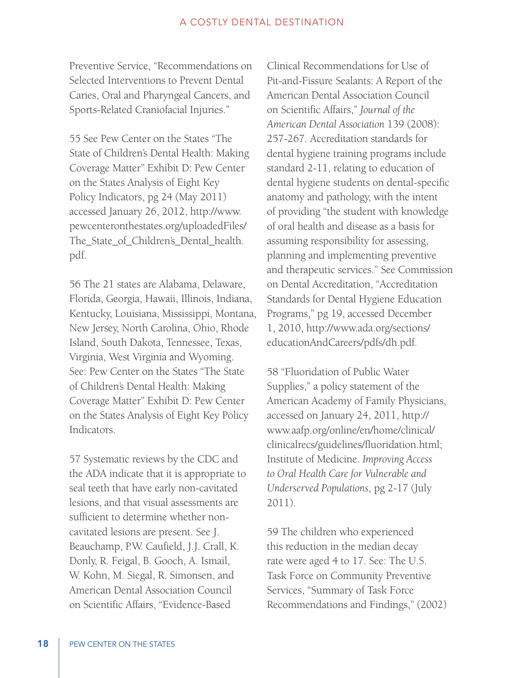Preventive Service, "Recommendations on Selected Interventions to Prevent Dental Caries, Oral and Pharyngeal Cancers, and Sports-Related Craniofacial Injuries."

55 See Pew Center on the States "The State of Children's Dental Health: Making Coverage Matter" Exhibit D: Pew Center on the States Analysis of Eight Key Policy Indicators, pg 24 (May 2011) accessed January 26, 2012, http://www. pewcenteronthestates.org/uploadedFiles/ The\_State\_of\_Children's\_Dental\_health. pdf.

56 The 21 states are Alabama, Delaware, Florida, Georgia, Hawaii, Illinois, Indiana, Kentucky, Louisiana, Mississippi, Montana, New Jersey, North Carolina, Ohio, Rhode Island, South Dakota, Tennessee, Texas, Virginia, West Virginia and Wyoming. See: Pew Center on the States "The State of Children's Dental Health: Making Coverage Matter" Exhibit D: Pew Center on the States Analysis of Eight Key Policy Indicators.

57 Systematic reviews by the CDC and the ADA indicate that it is appropriate to seal teeth that have early non-cavitated lesions, and that visual assessments are sufficient to determine whether noncavitated lesions are present. See J. Beauchamp, P.W. Caufield, J.J. Crall, K. Donly, R. Feigal, B. Gooch, A. Ismail, W. Kohn, M. Siegal, R. Simonsen, and American Dental Association Council on Scientific Affairs, "Evidence-Based

Clinical Recommendations for Use of Pit-and-Fissure Sealants: A Report of the American Dental Association Council on Scientific Affairs," *Journal of the American Dental Association* 139 (2008): 257-267. Accreditation standards for dental hygiene training programs include standard 2-11, relating to education of dental hygiene students on dental-specific anatomy and pathology, with the intent of providing "the student with knowledge of oral health and disease as a basis for assuming responsibility for assessing, planning and implementing preventive and therapeutic services." See Commission on Dental Accreditation, "Accreditation Standards for Dental Hygiene Education Programs," pg 19, accessed December 1, 2010, http://www.ada.org/sections/ educationAndCareers/pdfs/dh.pdf.

58 "Fluoridation of Public Water Supplies," a policy statement of the American Academy of Family Physicians, accessed on January 24, 2011, http:// www.aafp.org/online/en/home/clinical/ clinicalrecs/guidelines/fluoridation.html; Institute of Medicine. *Improving Access to Oral Health Care for Vulnerable and Underserved Populations*, pg 2-17 (July 2011).

59 The children who experienced this reduction in the median decay rate were aged 4 to 17. See: The U.S. Task Force on Community Preventive Services, "Summary of Task Force Recommendations and Findings," (2002)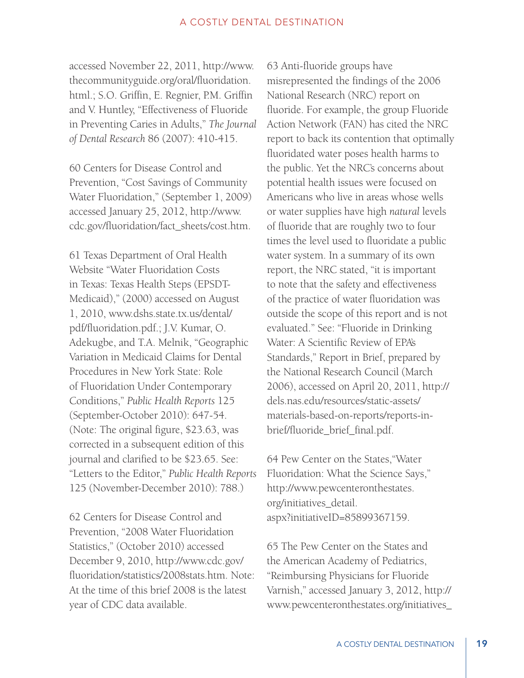accessed November 22, 2011, http://www. thecommunityguide.org/oral/fluoridation. html.; S.O. Griffin, E. Regnier, P.M. Griffin and V. Huntley, "Effectiveness of Fluoride in Preventing Caries in Adults," *The Journal of Dental Research* 86 (2007): 410-415.

60 Centers for Disease Control and Prevention, "Cost Savings of Community Water Fluoridation," (September 1, 2009) accessed January 25, 2012, http://www. cdc.gov/fluoridation/fact\_sheets/cost.htm.

61 Texas Department of Oral Health Website "Water Fluoridation Costs in Texas: Texas Health Steps (EPSDT-Medicaid)," (2000) accessed on August 1, 2010, www.dshs.state.tx.us/dental/ pdf/fluoridation.pdf.; J.V. Kumar, O. Adekugbe, and T.A. Melnik, "Geographic Variation in Medicaid Claims for Dental Procedures in New York State: Role of Fluoridation Under Contemporary Conditions," *Public Health Reports* 125 (September-October 2010): 647-54. (Note: The original figure, \$23.63, was corrected in a subsequent edition of this journal and clarified to be \$23.65. See: "Letters to the Editor," *Public Health Reports* 125 (November-December 2010): 788.)

62 Centers for Disease Control and Prevention, "2008 Water Fluoridation Statistics," (October 2010) accessed December 9, 2010, http://www.cdc.gov/ fluoridation/statistics/2008stats.htm. Note: At the time of this brief 2008 is the latest year of CDC data available.

63 Anti-fluoride groups have misrepresented the findings of the 2006 National Research (NRC) report on fluoride. For example, the group Fluoride Action Network (FAN) has cited the NRC report to back its contention that optimally fluoridated water poses health harms to the public. Yet the NRC's concerns about potential health issues were focused on Americans who live in areas whose wells or water supplies have high *natural* levels of fluoride that are roughly two to four times the level used to fluoridate a public water system. In a summary of its own report, the NRC stated, "it is important to note that the safety and effectiveness of the practice of water fluoridation was outside the scope of this report and is not evaluated." See: "Fluoride in Drinking Water: A Scientific Review of EPA's Standards," Report in Brief, prepared by the National Research Council (March 2006), accessed on April 20, 2011, http:// dels.nas.edu/resources/static-assets/ materials-based-on-reports/reports-inbrief/fluoride\_brief\_final.pdf.

64 Pew Center on the States,"Water Fluoridation: What the Science Says," http://www.pewcenteronthestates. org/initiatives\_detail. aspx?initiativeID=85899367159.

65 The Pew Center on the States and the American Academy of Pediatrics, "Reimbursing Physicians for Fluoride Varnish," accessed January 3, 2012, http:// www.pewcenteronthestates.org/initiatives\_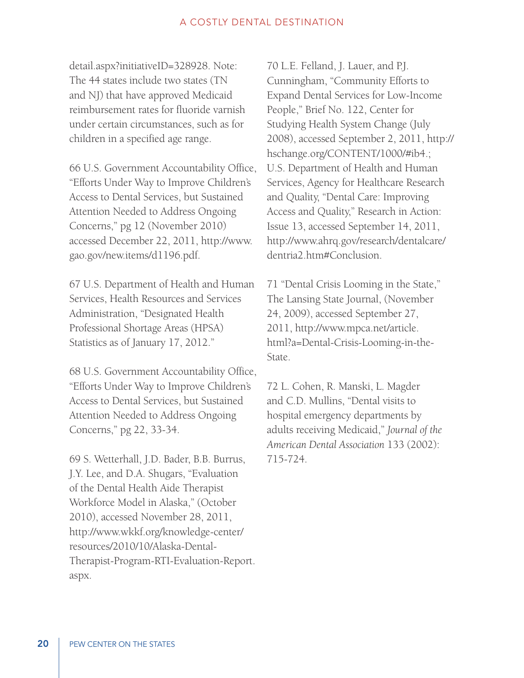detail.aspx?initiativeID=328928. Note: The 44 states include two states (TN and NJ) that have approved Medicaid reimbursement rates for fluoride varnish under certain circumstances, such as for children in a specified age range.

66 U.S. Government Accountability Office, "Efforts Under Way to Improve Children's Access to Dental Services, but Sustained Attention Needed to Address Ongoing Concerns," pg 12 (November 2010) accessed December 22, 2011, http://www. gao.gov/new.items/d1196.pdf.

67 U.S. Department of Health and Human Services, Health Resources and Services Administration, "Designated Health Professional Shortage Areas (HPSA) Statistics as of January 17, 2012."

68 U.S. Government Accountability Office, "Efforts Under Way to Improve Children's Access to Dental Services, but Sustained Attention Needed to Address Ongoing Concerns," pg 22, 33-34.

69 S. Wetterhall, J.D. Bader, B.B. Burrus, J.Y. Lee, and D.A. Shugars, "Evaluation of the Dental Health Aide Therapist Workforce Model in Alaska," (October 2010), accessed November 28, 2011, http://www.wkkf.org/knowledge-center/ resources/2010/10/Alaska-Dental-Therapist-Program-RTI-Evaluation-Report. aspx.

70 L.E. Felland, J. Lauer, and P.J. Cunningham, "Community Efforts to Expand Dental Services for Low-Income People," Brief No. 122, Center for Studying Health System Change (July 2008), accessed September 2, 2011, http:// hschange.org/CONTENT/1000/#ib4.; U.S. Department of Health and Human Services, Agency for Healthcare Research and Quality, "Dental Care: Improving Access and Quality," Research in Action: Issue 13, accessed September 14, 2011, http://www.ahrq.gov/research/dentalcare/ dentria2.htm#Conclusion.

71 "Dental Crisis Looming in the State," The Lansing State Journal, (November 24, 2009), accessed September 27, 2011, http://www.mpca.net/article. html?a=Dental-Crisis-Looming-in-the-State.

72 L. Cohen, R. Manski, L. Magder and C.D. Mullins, "Dental visits to hospital emergency departments by adults receiving Medicaid," *Journal of the American Dental Association* 133 (2002): 715-724.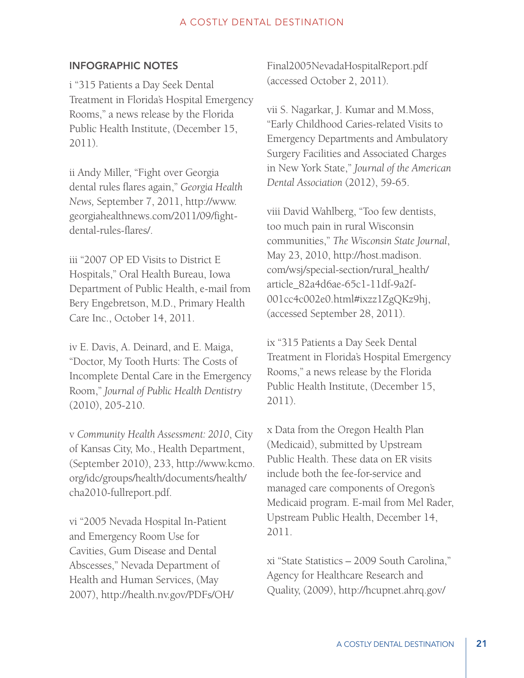## INFOGRAPHIC NOTES

i "315 Patients a Day Seek Dental Treatment in Florida's Hospital Emergency Rooms," a news release by the Florida Public Health Institute, (December 15, 2011).

ii Andy Miller, "Fight over Georgia dental rules flares again," *Georgia Health News,* September 7, 2011, http://www. georgiahealthnews.com/2011/09/fightdental-rules-flares/.

iii "2007 OP ED Visits to District E Hospitals," Oral Health Bureau, Iowa Department of Public Health, e-mail from Bery Engebretson, M.D., Primary Health Care Inc., October 14, 2011.

iv E. Davis, A. Deinard, and E. Maiga, "Doctor, My Tooth Hurts: The Costs of Incomplete Dental Care in the Emergency Room," *Journal of Public Health Dentistry* (2010), 205-210.

v *Community Health Assessment: 2010*, City of Kansas City, Mo., Health Department, (September 2010), 233, http://www.kcmo. org/idc/groups/health/documents/health/ cha2010-fullreport.pdf.

vi "2005 Nevada Hospital In-Patient and Emergency Room Use for Cavities, Gum Disease and Dental Abscesses," Nevada Department of Health and Human Services, (May 2007), http://health.nv.gov/PDFs/OH/ Final2005NevadaHospitalReport.pdf (accessed October 2, 2011).

vii S. Nagarkar, J. Kumar and M.Moss, "Early Childhood Caries-related Visits to Emergency Departments and Ambulatory Surgery Facilities and Associated Charges in New York State," *Journal of the American Dental Association* (2012), 59-65.

viii David Wahlberg, "Too few dentists, too much pain in rural Wisconsin communities," *The Wisconsin State Journal*, May 23, 2010, http://host.madison. com/wsj/special-section/rural\_health/ article\_82a4d6ae-65c1-11df-9a2f-001cc4c002e0.html#ixzz1ZgQKz9hj, (accessed September 28, 2011).

ix "315 Patients a Day Seek Dental Treatment in Florida's Hospital Emergency Rooms," a news release by the Florida Public Health Institute, (December 15, 2011).

x Data from the Oregon Health Plan (Medicaid), submitted by Upstream Public Health. These data on ER visits include both the fee-for-service and managed care components of Oregon's Medicaid program. E-mail from Mel Rader, Upstream Public Health, December 14, 2011.

xi "State Statistics – 2009 South Carolina," Agency for Healthcare Research and Quality, (2009), http://hcupnet.ahrq.gov/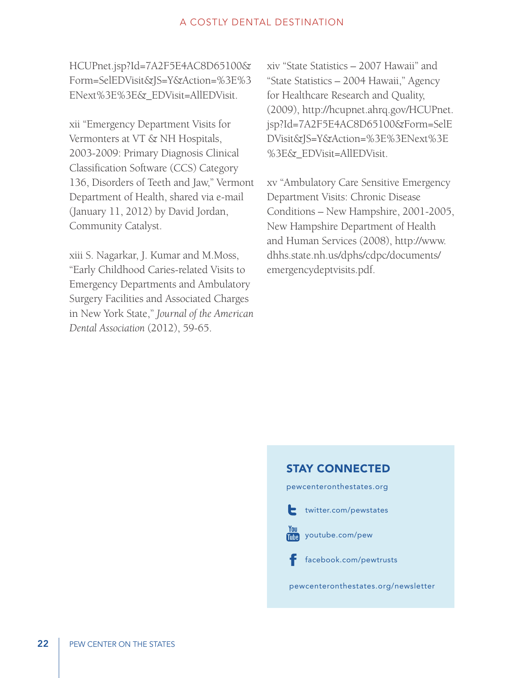HCUPnet.jsp?Id=7A2F5E4AC8D65100& Form=SelEDVisit&JS=Y&Action=%3E%3 ENext%3E%3E&\_EDVisit=AllEDVisit.

xii "Emergency Department Visits for Vermonters at VT & NH Hospitals, 2003-2009: Primary Diagnosis Clinical Classification Software (CCS) Category 136, Disorders of Teeth and Jaw," Vermont Department of Health, shared via e-mail (January 11, 2012) by David Jordan, Community Catalyst.

xiii S. Nagarkar, J. Kumar and M.Moss, "Early Childhood Caries-related Visits to Emergency Departments and Ambulatory Surgery Facilities and Associated Charges in New York State," *Journal of the American Dental Association* (2012), 59-65.

xiv "State Statistics – 2007 Hawaii" and "State Statistics – 2004 Hawaii," Agency for Healthcare Research and Quality, (2009), http://hcupnet.ahrq.gov/HCUPnet. jsp?Id=7A2F5E4AC8D65100&Form=SelE DVisit&JS=Y&Action=%3E%3ENext%3E %3E&\_EDVisit=AllEDVisit.

xv "Ambulatory Care Sensitive Emergency Department Visits: Chronic Disease Conditions – New Hampshire, 2001-2005, New Hampshire Department of Health and Human Services (2008), http://www. dhhs.state.nh.us/dphs/cdpc/documents/ emergencydeptvisits.pdf.

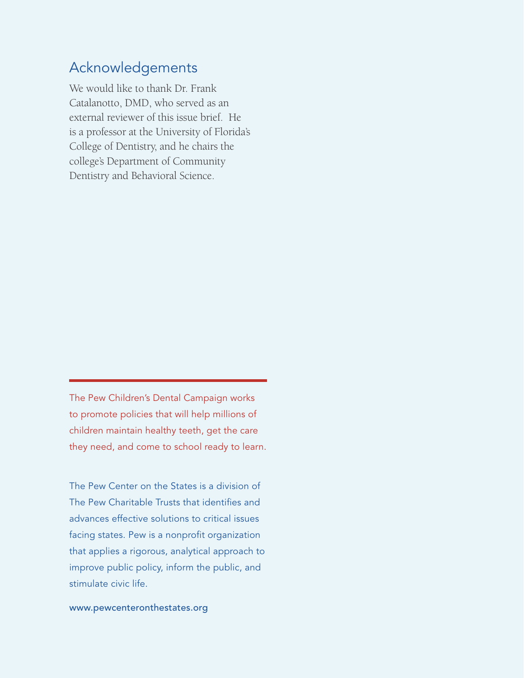# Acknowledgements

We would like to thank Dr. Frank Catalanotto, DMD, who served as an external reviewer of this issue brief. He is a professor at the University of Florida's College of Dentistry, and he chairs the college's Department of Community Dentistry and Behavioral Science.

The Pew Children's Dental Campaign works to promote policies that will help millions of children maintain healthy teeth, get the care they need, and come to school ready to learn.

The Pew Center on the States is a division of The Pew Charitable Trusts that identifies and advances effective solutions to critical issues facing states. Pew is a nonprofit organization that applies a rigorous, analytical approach to improve public policy, inform the public, and stimulate civic life.

www.pewcenteronthestates.org